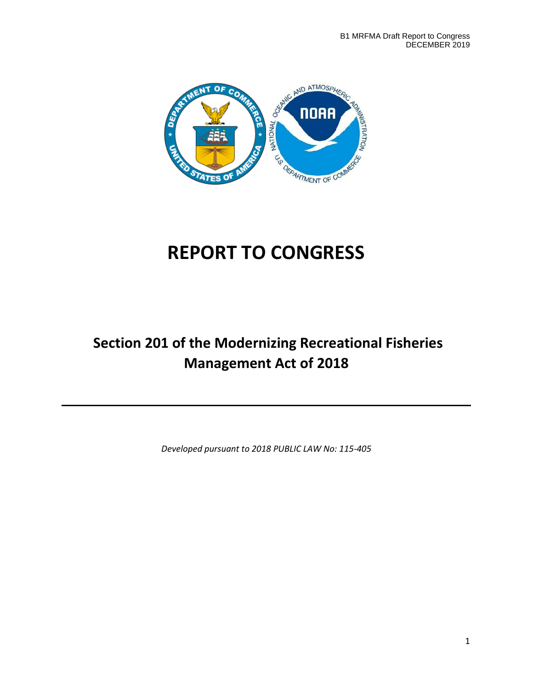

# **REPORT TO CONGRESS**

# **Section 201 of the Modernizing Recreational Fisheries Management Act of 2018**

*Developed pursuant to 2018 PUBLIC LAW No: 115-405*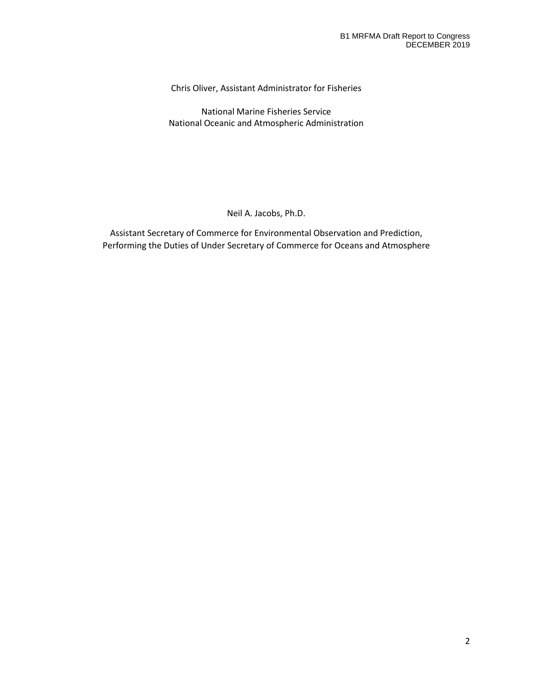Chris Oliver, Assistant Administrator for Fisheries

National Marine Fisheries Service National Oceanic and Atmospheric Administration

#### Neil A. Jacobs, Ph.D.

Assistant Secretary of Commerce for Environmental Observation and Prediction, Performing the Duties of Under Secretary of Commerce for Oceans and Atmosphere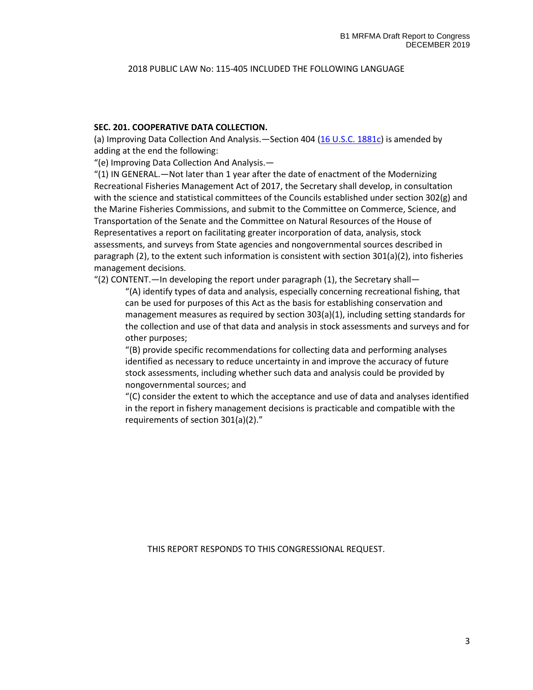#### 2018 PUBLIC LAW No: 115-405 INCLUDED THE FOLLOWING LANGUAGE

#### **SEC. 201. COOPERATIVE DATA COLLECTION.**

(a) Improving Data Collection And Analysis.—Section 404 [\(16 U.S.C. 1881c\)](http://uscode.house.gov/quicksearch/get.plx?title=16§ion=1881c) is amended by adding at the end the following:

"(e) Improving Data Collection And Analysis.—

"(1) IN GENERAL.—Not later than 1 year after the date of enactment of the Modernizing Recreational Fisheries Management Act of 2017, the Secretary shall develop, in consultation with the science and statistical committees of the Councils established under section 302(g) and the Marine Fisheries Commissions, and submit to the Committee on Commerce, Science, and Transportation of the Senate and the Committee on Natural Resources of the House of Representatives a report on facilitating greater incorporation of data, analysis, stock assessments, and surveys from State agencies and nongovernmental sources described in paragraph (2), to the extent such information is consistent with section 301(a)(2), into fisheries management decisions.

"(2) CONTENT.—In developing the report under paragraph  $(1)$ , the Secretary shall—

"(A) identify types of data and analysis, especially concerning recreational fishing, that can be used for purposes of this Act as the basis for establishing conservation and management measures as required by section 303(a)(1), including setting standards for the collection and use of that data and analysis in stock assessments and surveys and for other purposes;

"(B) provide specific recommendations for collecting data and performing analyses identified as necessary to reduce uncertainty in and improve the accuracy of future stock assessments, including whether such data and analysis could be provided by nongovernmental sources; and

"(C) consider the extent to which the acceptance and use of data and analyses identified in the report in fishery management decisions is practicable and compatible with the requirements of section 301(a)(2)."

THIS REPORT RESPONDS TO THIS CONGRESSIONAL REQUEST.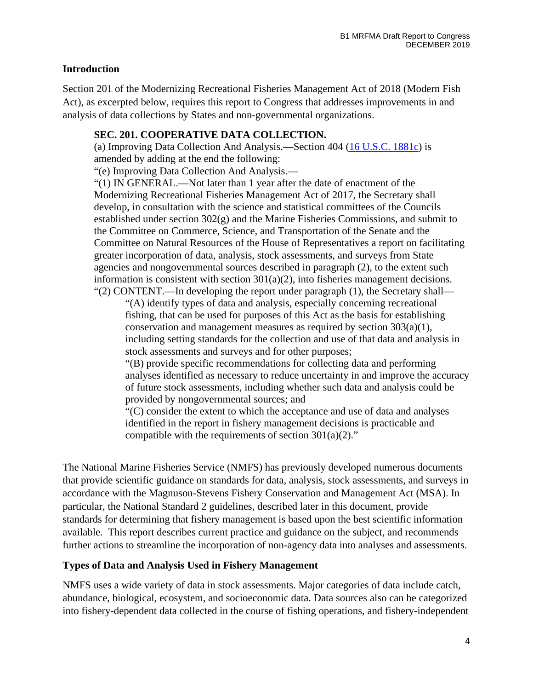# **Introduction**

Section 201 of the Modernizing Recreational Fisheries Management Act of 2018 (Modern Fish Act), as excerpted below, requires this report to Congress that addresses improvements in and analysis of data collections by States and non-governmental organizations.

#### **SEC. 201. COOPERATIVE DATA COLLECTION.**

(a) Improving Data Collection And Analysis.—Section 404 [\(16 U.S.C. 1881c\)](http://uscode.house.gov/quicksearch/get.plx?title=16§ion=1881c) is amended by adding at the end the following:

"(e) Improving Data Collection And Analysis.—

"(1) IN GENERAL.—Not later than 1 year after the date of enactment of the Modernizing Recreational Fisheries Management Act of 2017, the Secretary shall develop, in consultation with the science and statistical committees of the Councils established under section 302(g) and the Marine Fisheries Commissions, and submit to the Committee on Commerce, Science, and Transportation of the Senate and the Committee on Natural Resources of the House of Representatives a report on facilitating greater incorporation of data, analysis, stock assessments, and surveys from State agencies and nongovernmental sources described in paragraph (2), to the extent such information is consistent with section  $301(a)(2)$ , into fisheries management decisions. "(2) CONTENT.—In developing the report under paragraph  $(1)$ , the Secretary shall—

"(A) identify types of data and analysis, especially concerning recreational fishing, that can be used for purposes of this Act as the basis for establishing conservation and management measures as required by section 303(a)(1), including setting standards for the collection and use of that data and analysis in stock assessments and surveys and for other purposes;

"(B) provide specific recommendations for collecting data and performing analyses identified as necessary to reduce uncertainty in and improve the accuracy of future stock assessments, including whether such data and analysis could be provided by nongovernmental sources; and

"(C) consider the extent to which the acceptance and use of data and analyses identified in the report in fishery management decisions is practicable and compatible with the requirements of section  $301(a)(2)$ ."

The National Marine Fisheries Service (NMFS) has previously developed numerous documents that provide scientific guidance on standards for data, analysis, stock assessments, and surveys in accordance with the Magnuson-Stevens Fishery Conservation and Management Act (MSA). In particular, the National Standard 2 guidelines, described later in this document, provide standards for determining that fishery management is based upon the best scientific information available. This report describes current practice and guidance on the subject, and recommends further actions to streamline the incorporation of non-agency data into analyses and assessments.

# **Types of Data and Analysis Used in Fishery Management**

NMFS uses a wide variety of data in stock assessments. Major categories of data include catch, abundance, biological, ecosystem, and socioeconomic data. Data sources also can be categorized into fishery-dependent data collected in the course of fishing operations, and fishery-independent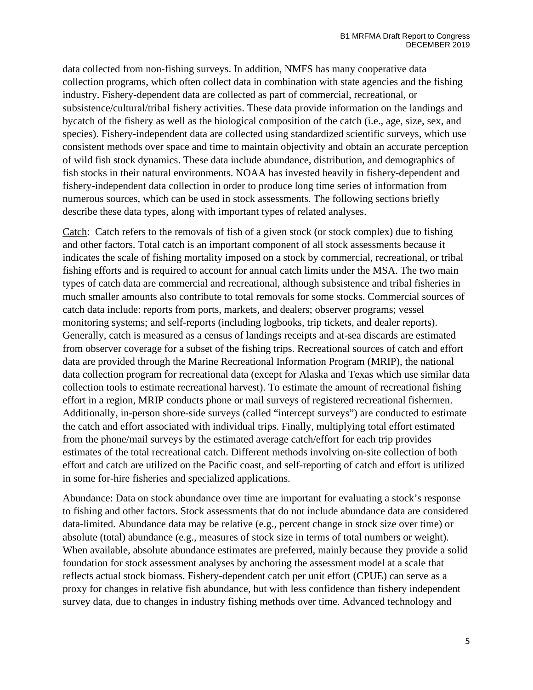data collected from non-fishing surveys. In addition, NMFS has many cooperative data collection programs, which often collect data in combination with state agencies and the fishing industry. Fishery-dependent data are collected as part of commercial, recreational, or subsistence/cultural/tribal fishery activities. These data provide information on the landings and bycatch of the fishery as well as the biological composition of the catch (i.e., age, size, sex, and species). Fishery-independent data are collected using standardized scientific surveys, which use consistent methods over space and time to maintain objectivity and obtain an accurate perception of wild fish stock dynamics. These data include abundance, distribution, and demographics of fish stocks in their natural environments. NOAA has invested heavily in fishery-dependent and fishery-independent data collection in order to produce long time series of information from numerous sources, which can be used in stock assessments. The following sections briefly describe these data types, along with important types of related analyses.

Catch: Catch refers to the removals of fish of a given stock (or stock complex) due to fishing and other factors. Total catch is an important component of all stock assessments because it indicates the scale of fishing mortality imposed on a stock by commercial, recreational, or tribal fishing efforts and is required to account for annual catch limits under the MSA. The two main types of catch data are commercial and recreational, although subsistence and tribal fisheries in much smaller amounts also contribute to total removals for some stocks. Commercial sources of catch data include: reports from ports, markets, and dealers; observer programs; vessel monitoring systems; and self-reports (including logbooks, trip tickets, and dealer reports). Generally, catch is measured as a census of landings receipts and at-sea discards are estimated from observer coverage for a subset of the fishing trips. Recreational sources of catch and effort data are provided through the Marine Recreational Information Program (MRIP), the national data collection program for recreational data (except for Alaska and Texas which use similar data collection tools to estimate recreational harvest). To estimate the amount of recreational fishing effort in a region, MRIP conducts phone or mail surveys of registered recreational fishermen. Additionally, in-person shore-side surveys (called "intercept surveys") are conducted to estimate the catch and effort associated with individual trips. Finally, multiplying total effort estimated from the phone/mail surveys by the estimated average catch/effort for each trip provides estimates of the total recreational catch. Different methods involving on-site collection of both effort and catch are utilized on the Pacific coast, and self-reporting of catch and effort is utilized in some for-hire fisheries and specialized applications.

Abundance: Data on stock abundance over time are important for evaluating a stock's response to fishing and other factors. Stock assessments that do not include abundance data are considered data-limited. Abundance data may be relative (e.g., percent change in stock size over time) or absolute (total) abundance (e.g., measures of stock size in terms of total numbers or weight). When available, absolute abundance estimates are preferred, mainly because they provide a solid foundation for stock assessment analyses by anchoring the assessment model at a scale that reflects actual stock biomass. Fishery-dependent catch per unit effort (CPUE) can serve as a proxy for changes in relative fish abundance, but with less confidence than fishery independent survey data, due to changes in industry fishing methods over time. Advanced technology and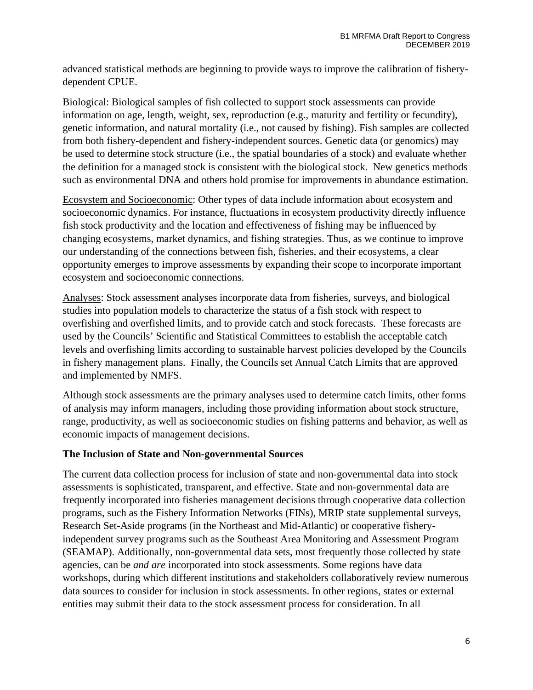advanced statistical methods are beginning to provide ways to improve the calibration of fisherydependent CPUE.

Biological: Biological samples of fish collected to support stock assessments can provide information on age, length, weight, sex, reproduction (e.g., maturity and fertility or fecundity), genetic information, and natural mortality (i.e., not caused by fishing). Fish samples are collected from both fishery-dependent and fishery-independent sources. Genetic data (or genomics) may be used to determine stock structure (i.e., the spatial boundaries of a stock) and evaluate whether the definition for a managed stock is consistent with the biological stock. New genetics methods such as environmental DNA and others hold promise for improvements in abundance estimation.

Ecosystem and Socioeconomic: Other types of data include information about ecosystem and socioeconomic dynamics. For instance, fluctuations in ecosystem productivity directly influence fish stock productivity and the location and effectiveness of fishing may be influenced by changing ecosystems, market dynamics, and fishing strategies. Thus, as we continue to improve our understanding of the connections between fish, fisheries, and their ecosystems, a clear opportunity emerges to improve assessments by expanding their scope to incorporate important ecosystem and socioeconomic connections.

Analyses: Stock assessment analyses incorporate data from fisheries, surveys, and biological studies into population models to characterize the status of a fish stock with respect to overfishing and overfished limits, and to provide catch and stock forecasts. These forecasts are used by the Councils' Scientific and Statistical Committees to establish the acceptable catch levels and overfishing limits according to sustainable harvest policies developed by the Councils in fishery management plans. Finally, the Councils set Annual Catch Limits that are approved and implemented by NMFS.

Although stock assessments are the primary analyses used to determine catch limits, other forms of analysis may inform managers, including those providing information about stock structure, range, productivity, as well as socioeconomic studies on fishing patterns and behavior, as well as economic impacts of management decisions.

# **The Inclusion of State and Non-governmental Sources**

The current data collection process for inclusion of state and non-governmental data into stock assessments is sophisticated, transparent, and effective. State and non-governmental data are frequently incorporated into fisheries management decisions through cooperative data collection programs, such as the Fishery Information Networks (FINs), MRIP state supplemental surveys, Research Set-Aside programs (in the Northeast and Mid-Atlantic) or cooperative fisheryindependent survey programs such as the Southeast Area Monitoring and Assessment Program (SEAMAP). Additionally, non-governmental data sets, most frequently those collected by state agencies, can be *and are* incorporated into stock assessments. Some regions have data workshops, during which different institutions and stakeholders collaboratively review numerous data sources to consider for inclusion in stock assessments. In other regions, states or external entities may submit their data to the stock assessment process for consideration. In all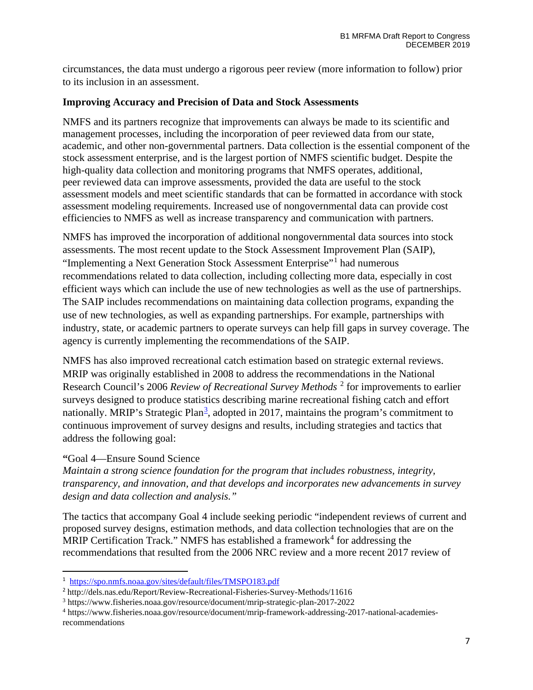circumstances, the data must undergo a rigorous peer review (more information to follow) prior to its inclusion in an assessment.

#### **Improving Accuracy and Precision of Data and Stock Assessments**

NMFS and its partners recognize that improvements can always be made to its scientific and management processes, including the incorporation of peer reviewed data from our state, academic, and other non-governmental partners. Data collection is the essential component of the stock assessment enterprise, and is the largest portion of NMFS scientific budget. Despite the high-quality data collection and monitoring programs that NMFS operates, additional, peer reviewed data can improve assessments, provided the data are useful to the stock assessment models and meet scientific standards that can be formatted in accordance with stock assessment modeling requirements. Increased use of nongovernmental data can provide cost efficiencies to NMFS as well as increase transparency and communication with partners.

NMFS has improved the incorporation of additional nongovernmental data sources into stock assessments. The most recent update to the Stock Assessment Improvement Plan (SAIP), "Implementing a Next Generation Stock Assessment Enterprise"[1](#page-6-0) had numerous recommendations related to data collection, including collecting more data, especially in cost efficient ways which can include the use of new technologies as well as the use of partnerships. The SAIP includes recommendations on maintaining data collection programs, expanding the use of new technologies, as well as expanding partnerships. For example, partnerships with industry, state, or academic partners to operate surveys can help fill gaps in survey coverage. The agency is currently implementing the recommendations of the SAIP.

NMFS has also improved recreational catch estimation based on strategic external reviews. MRIP was originally established in 2008 to address the recommendations in the National Research Council's 2006 *Review of Recreational Survey Methods* [2](#page-6-1) for improvements to earlier surveys designed to produce statistics describing marine recreational fishing catch and effort nationally. MRIP's Strategic Plan<sup>[3](#page-6-2)</sup>, adopted in 2017, maintains the program's commitment to continuous improvement of survey designs and results, including strategies and tactics that address the following goal:

# **"**Goal 4—Ensure Sound Science

*Maintain a strong science foundation for the program that includes robustness, integrity, transparency, and innovation, and that develops and incorporates new advancements in survey design and data collection and analysis."*

The tactics that accompany Goal 4 include seeking periodic "independent reviews of current and proposed survey designs, estimation methods, and data collection technologies that are on the MRIP Certification Track." NMFS has established a framework<sup>[4](#page-6-3)</sup> for addressing the recommendations that resulted from the 2006 NRC review and a more recent 2017 review of

<span id="page-6-0"></span><sup>1</sup> <https://spo.nmfs.noaa.gov/sites/default/files/TMSPO183.pdf>

<span id="page-6-1"></span><sup>2</sup> http://dels.nas.edu/Report/Review-Recreational-Fisheries-Survey-Methods/11616

<span id="page-6-2"></span><sup>3</sup> https://www.fisheries.noaa.gov/resource/document/mrip-strategic-plan-2017-2022

<span id="page-6-3"></span><sup>4</sup> https://www.fisheries.noaa.gov/resource/document/mrip-framework-addressing-2017-national-academiesrecommendations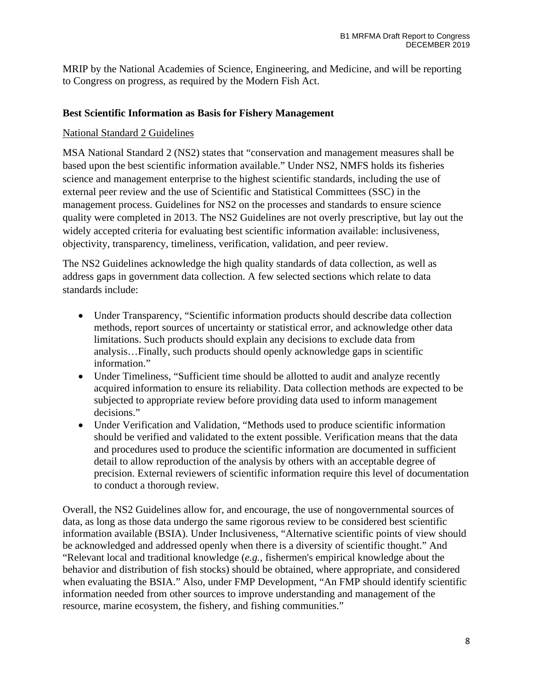MRIP by the National Academies of Science, Engineering, and Medicine, and will be reporting to Congress on progress, as required by the Modern Fish Act.

#### **Best Scientific Information as Basis for Fishery Management**

#### National Standard 2 Guidelines

MSA National Standard 2 (NS2) states that "conservation and management measures shall be based upon the best scientific information available." Under NS2, NMFS holds its fisheries science and management enterprise to the highest scientific standards, including the use of external peer review and the use of Scientific and Statistical Committees (SSC) in the management process. Guidelines for NS2 on the processes and standards to ensure science quality were completed in 2013. The NS2 Guidelines are not overly prescriptive, but lay out the widely accepted criteria for evaluating best scientific information available: inclusiveness, objectivity, transparency, timeliness, verification, validation, and peer review.

The NS2 Guidelines acknowledge the high quality standards of data collection, as well as address gaps in government data collection. A few selected sections which relate to data standards include:

- Under Transparency, "Scientific information products should describe data collection methods, report sources of uncertainty or statistical error, and acknowledge other data limitations. Such products should explain any decisions to exclude data from analysis…Finally, such products should openly acknowledge gaps in scientific information."
- Under Timeliness, "Sufficient time should be allotted to audit and analyze recently acquired information to ensure its reliability. Data collection methods are expected to be subjected to appropriate review before providing data used to inform management decisions."
- Under Verification and Validation, "Methods used to produce scientific information should be verified and validated to the extent possible. Verification means that the data and procedures used to produce the scientific information are documented in sufficient detail to allow reproduction of the analysis by others with an acceptable degree of precision. External reviewers of scientific information require this level of documentation to conduct a thorough review.

Overall, the NS2 Guidelines allow for, and encourage, the use of nongovernmental sources of data, as long as those data undergo the same rigorous review to be considered best scientific information available (BSIA). Under Inclusiveness, "Alternative scientific points of view should be acknowledged and addressed openly when there is a diversity of scientific thought." And "Relevant local and traditional knowledge (*e.g.,* fishermen's empirical knowledge about the behavior and distribution of fish stocks) should be obtained, where appropriate, and considered when evaluating the BSIA." Also, under FMP Development, "An FMP should identify scientific information needed from other sources to improve understanding and management of the resource, marine ecosystem, the fishery, and fishing communities."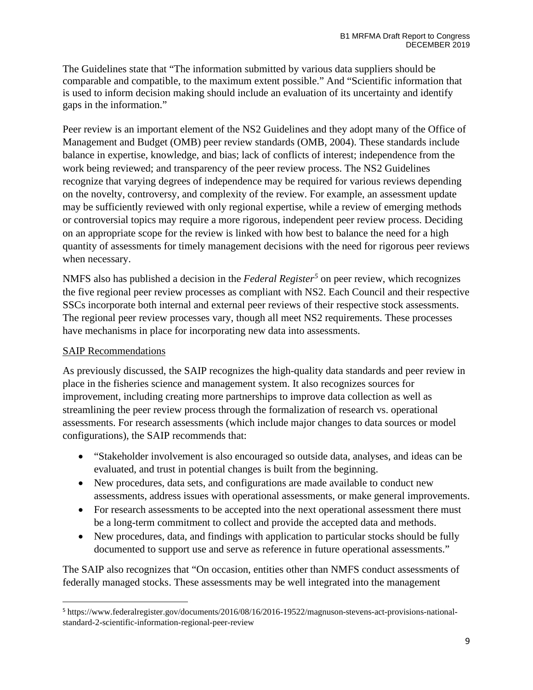The Guidelines state that "The information submitted by various data suppliers should be comparable and compatible, to the maximum extent possible." And "Scientific information that is used to inform decision making should include an evaluation of its uncertainty and identify gaps in the information."

Peer review is an important element of the NS2 Guidelines and they adopt many of the Office of Management and Budget (OMB) peer review standards (OMB, 2004). These standards include balance in expertise, knowledge, and bias; lack of conflicts of interest; independence from the work being reviewed; and transparency of the peer review process. The NS2 Guidelines recognize that varying degrees of independence may be required for various reviews depending on the novelty, controversy, and complexity of the review. For example, an assessment update may be sufficiently reviewed with only regional expertise, while a review of emerging methods or controversial topics may require a more rigorous, independent peer review process. Deciding on an appropriate scope for the review is linked with how best to balance the need for a high quantity of assessments for timely management decisions with the need for rigorous peer reviews when necessary.

NMFS also has published a decision in the *Federal Register[5](#page-8-0)* on peer review, which recognizes the five regional peer review processes as compliant with NS2. Each Council and their respective SSCs incorporate both internal and external peer reviews of their respective stock assessments. The regional peer review processes vary, though all meet NS2 requirements. These processes have mechanisms in place for incorporating new data into assessments.

# SAIP Recommendations

As previously discussed, the SAIP recognizes the high-quality data standards and peer review in place in the fisheries science and management system. It also recognizes sources for improvement, including creating more partnerships to improve data collection as well as streamlining the peer review process through the formalization of research vs. operational assessments. For research assessments (which include major changes to data sources or model configurations), the SAIP recommends that:

- "Stakeholder involvement is also encouraged so outside data, analyses, and ideas can be evaluated, and trust in potential changes is built from the beginning.
- New procedures, data sets, and configurations are made available to conduct new assessments, address issues with operational assessments, or make general improvements.
- For research assessments to be accepted into the next operational assessment there must be a long-term commitment to collect and provide the accepted data and methods.
- New procedures, data, and findings with application to particular stocks should be fully documented to support use and serve as reference in future operational assessments."

The SAIP also recognizes that "On occasion, entities other than NMFS conduct assessments of federally managed stocks. These assessments may be well integrated into the management

<span id="page-8-0"></span><sup>5</sup> https://www.federalregister.gov/documents/2016/08/16/2016-19522/magnuson-stevens-act-provisions-nationalstandard-2-scientific-information-regional-peer-review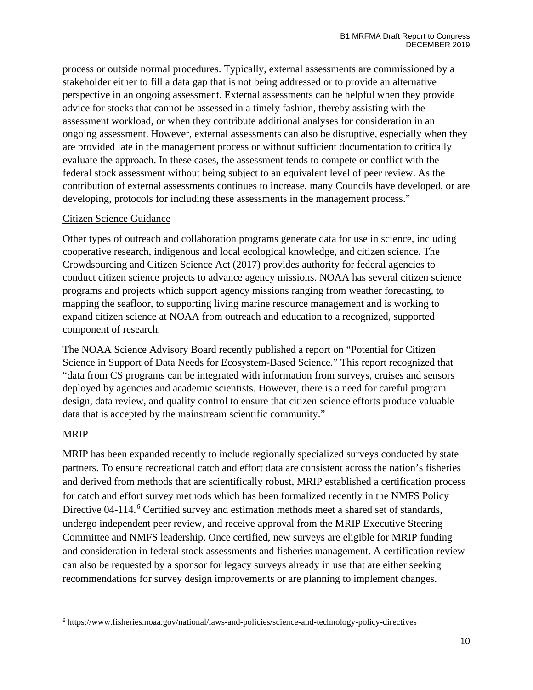process or outside normal procedures. Typically, external assessments are commissioned by a stakeholder either to fill a data gap that is not being addressed or to provide an alternative perspective in an ongoing assessment. External assessments can be helpful when they provide advice for stocks that cannot be assessed in a timely fashion, thereby assisting with the assessment workload, or when they contribute additional analyses for consideration in an ongoing assessment. However, external assessments can also be disruptive, especially when they are provided late in the management process or without sufficient documentation to critically evaluate the approach. In these cases, the assessment tends to compete or conflict with the federal stock assessment without being subject to an equivalent level of peer review. As the contribution of external assessments continues to increase, many Councils have developed, or are developing, protocols for including these assessments in the management process."

#### Citizen Science Guidance

Other types of outreach and collaboration programs generate data for use in science, including cooperative research, indigenous and local ecological knowledge, and citizen science. The Crowdsourcing and Citizen Science Act (2017) provides authority for federal agencies to conduct citizen science projects to advance agency missions. NOAA has several citizen science programs and projects which support agency missions ranging from weather forecasting, to mapping the seafloor, to supporting living marine resource management and is working to expand citizen science at NOAA from outreach and education to a recognized, supported component of research.

The NOAA Science Advisory Board recently published a report on "Potential for Citizen Science in Support of Data Needs for Ecosystem-Based Science." This report recognized that "data from CS programs can be integrated with information from surveys, cruises and sensors deployed by agencies and academic scientists. However, there is a need for careful program design, data review, and quality control to ensure that citizen science efforts produce valuable data that is accepted by the mainstream scientific community."

#### MRIP

MRIP has been expanded recently to include regionally specialized surveys conducted by state partners. To ensure recreational catch and effort data are consistent across the nation's fisheries and derived from methods that are scientifically robust, MRIP established a certification process for catch and effort survey methods which has been formalized recently in the NMFS Policy Directive 04-114.<sup>[6](#page-9-0)</sup> Certified survey and estimation methods meet a shared set of standards, undergo independent peer review, and receive approval from the MRIP Executive Steering Committee and NMFS leadership. Once certified, new surveys are eligible for MRIP funding and consideration in federal stock assessments and fisheries management. A certification review can also be requested by a sponsor for legacy surveys already in use that are either seeking recommendations for survey design improvements or are planning to implement changes.

<span id="page-9-0"></span><sup>6</sup> https://www.fisheries.noaa.gov/national/laws-and-policies/science-and-technology-policy-directives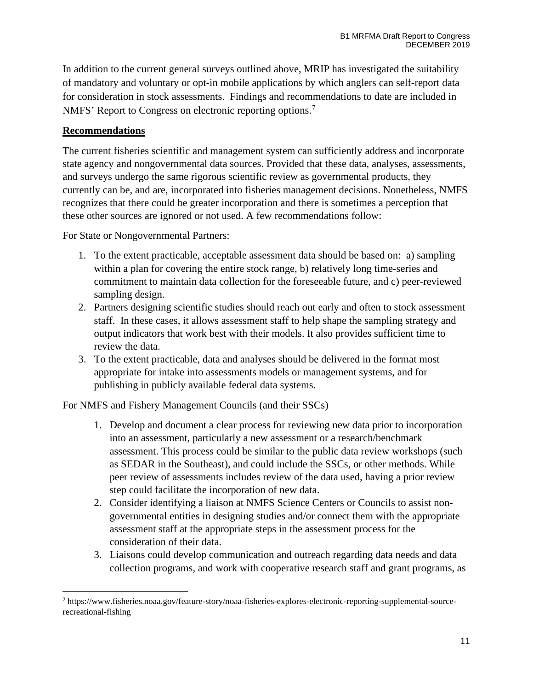In addition to the current general surveys outlined above, MRIP has investigated the suitability of mandatory and voluntary or opt-in mobile applications by which anglers can self-report data for consideration in stock assessments. Findings and recommendations to date are included in NMFS' Report to Congress on electronic reporting options.<sup>[7](#page-10-0)</sup>

#### **Recommendations**

The current fisheries scientific and management system can sufficiently address and incorporate state agency and nongovernmental data sources. Provided that these data, analyses, assessments, and surveys undergo the same rigorous scientific review as governmental products, they currently can be, and are, incorporated into fisheries management decisions. Nonetheless, NMFS recognizes that there could be greater incorporation and there is sometimes a perception that these other sources are ignored or not used. A few recommendations follow:

For State or Nongovernmental Partners:

- 1. To the extent practicable, acceptable assessment data should be based on: a) sampling within a plan for covering the entire stock range, b) relatively long time-series and commitment to maintain data collection for the foreseeable future, and c) peer-reviewed sampling design.
- 2. Partners designing scientific studies should reach out early and often to stock assessment staff. In these cases, it allows assessment staff to help shape the sampling strategy and output indicators that work best with their models. It also provides sufficient time to review the data.
- 3. To the extent practicable, data and analyses should be delivered in the format most appropriate for intake into assessments models or management systems, and for publishing in publicly available federal data systems.

For NMFS and Fishery Management Councils (and their SSCs)

- 1. Develop and document a clear process for reviewing new data prior to incorporation into an assessment, particularly a new assessment or a research/benchmark assessment. This process could be similar to the public data review workshops (such as SEDAR in the Southeast), and could include the SSCs, or other methods. While peer review of assessments includes review of the data used, having a prior review step could facilitate the incorporation of new data.
- 2. Consider identifying a liaison at NMFS Science Centers or Councils to assist nongovernmental entities in designing studies and/or connect them with the appropriate assessment staff at the appropriate steps in the assessment process for the consideration of their data.
- 3. Liaisons could develop communication and outreach regarding data needs and data collection programs, and work with cooperative research staff and grant programs, as

<span id="page-10-0"></span><sup>7</sup> https://www.fisheries.noaa.gov/feature-story/noaa-fisheries-explores-electronic-reporting-supplemental-sourcerecreational-fishing